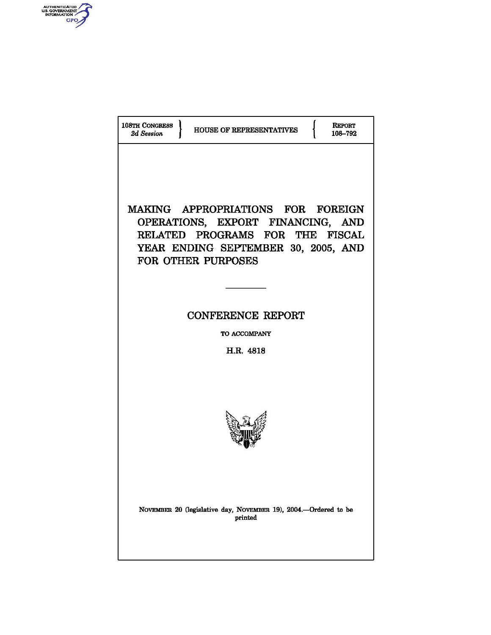

 $\mathsf{r}$ 

| 108th Congress<br><b>REPORT</b><br>HOUSE OF REPRESENTATIVES<br>2d Session<br>108-792                                                                                          |
|-------------------------------------------------------------------------------------------------------------------------------------------------------------------------------|
| MAKING APPROPRIATIONS FOR FOREIGN<br>OPERATIONS, EXPORT FINANCING, AND<br>RELATED PROGRAMS FOR THE FISCAL<br>YEAR ENDING SEPTEMBER 30, 2005, AND<br><b>FOR OTHER PURPOSES</b> |
|                                                                                                                                                                               |
| <b>CONFERENCE REPORT</b>                                                                                                                                                      |
| TO ACCOMPANY                                                                                                                                                                  |
| H.R. 4818                                                                                                                                                                     |
|                                                                                                                                                                               |
| NOVEMBER 20 (legislative day, NOVEMBER 19), 2004.-Ordered to be<br>printed                                                                                                    |